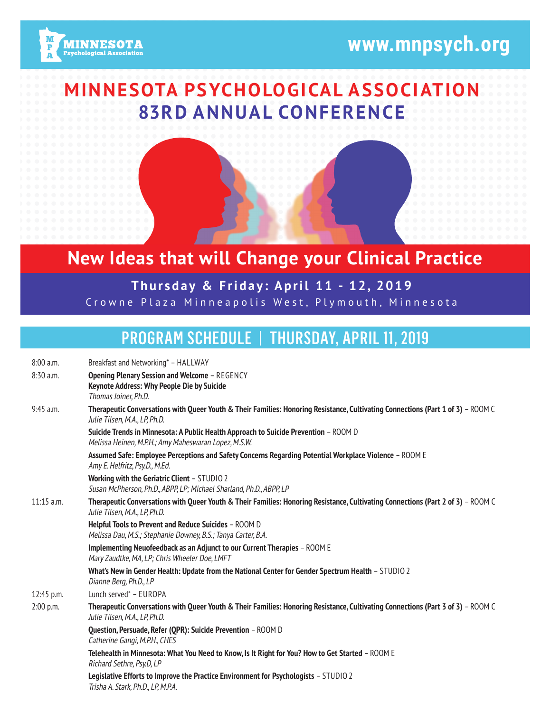# **www.mnpsych.org**



## **MINNESOTA PSYCHOLOGICAL ASSOCIATION 83RD ANNUAL CONFERENCE**

## **New Ideas that will Change your Clinical Practice**

#### **Thursday & Friday: April 11 - 12, 2019** Crowne Plaza Minneapolis West, Plymouth, Minnesota

## PROGRAM SCHEDULE | THURSDAY, APRIL 11, 2019

| 8:00 a.m.    | Breakfast and Networking* - HALLWAY                                                                                                                               |
|--------------|-------------------------------------------------------------------------------------------------------------------------------------------------------------------|
| 8:30 a.m.    | <b>Opening Plenary Session and Welcome - REGENCY</b>                                                                                                              |
|              | Keynote Address: Why People Die by Suicide                                                                                                                        |
|              | Thomas Joiner, Ph.D.                                                                                                                                              |
| 9:45 a.m.    | Therapeutic Conversations with Queer Youth & Their Families: Honoring Resistance, Cultivating Connections (Part 1 of 3) - ROOM C<br>Julie Tilsen, M.A., LP, Ph.D. |
|              | Suicide Trends in Minnesota: A Public Health Approach to Suicide Prevention - ROOM D<br>Melissa Heinen, M.P.H.; Amy Maheswaran Lopez, M.S.W.                      |
|              | Assumed Safe: Employee Perceptions and Safety Concerns Regarding Potential Workplace Violence - ROOM E<br>Amy E. Helfritz, Psy.D., M.Ed.                          |
|              | Working with the Geriatric Client - STUDIO 2<br>Susan McPherson, Ph.D., ABPP, LP; Michael Sharland, Ph.D., ABPP, LP                                               |
| $11:15$ a.m. | Therapeutic Conversations with Queer Youth & Their Families: Honoring Resistance, Cultivating Connections (Part 2 of 3) - ROOM C<br>Julie Tilsen, M.A., LP, Ph.D. |
|              | Helpful Tools to Prevent and Reduce Suicides - ROOM D<br>Melissa Dau, M.S.; Stephanie Downey, B.S.; Tanya Carter, B.A.                                            |
|              | Implementing Neuofeedback as an Adjunct to our Current Therapies - ROOM E<br>Mary Zaudtke, MA, LP; Chris Wheeler Doe, LMFT                                        |
|              | What's New in Gender Health: Update from the National Center for Gender Spectrum Health - STUDIO 2<br>Dianne Berg, Ph.D., LP                                      |
| 12:45 p.m.   | Lunch served* - EUROPA                                                                                                                                            |
| 2:00 p.m.    | Therapeutic Conversations with Queer Youth & Their Families: Honoring Resistance, Cultivating Connections (Part 3 of 3) - ROOM C<br>Julie Tilsen, M.A., LP, Ph.D. |
|              | Question, Persuade, Refer (QPR): Suicide Prevention - ROOM D<br>Catherine Gangi, M.P.H., CHES                                                                     |
|              | Telehealth in Minnesota: What You Need to Know, Is It Right for You? How to Get Started - ROOM E<br>Richard Sethre, Psy.D, LP                                     |
|              | Legislative Efforts to Improve the Practice Environment for Psychologists - STUDIO 2<br>Trisha A. Stark, Ph.D., LP, M.P.A.                                        |